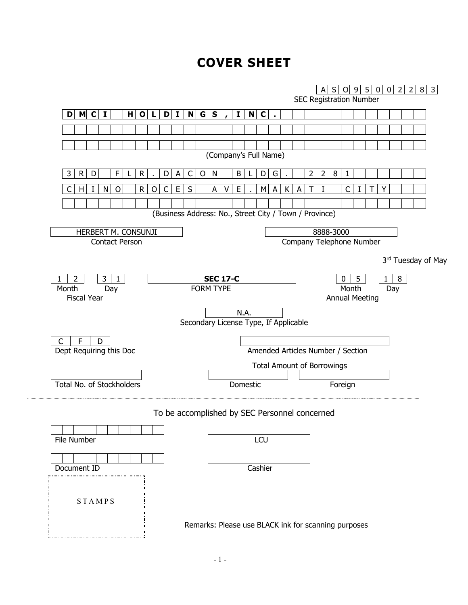# **COVER SHEET**

|                                                       |                                                        |                                   |                                | S   0   9   5   0   0   2   2<br>A |       |  |     |                    | $8 \mid 3$ |
|-------------------------------------------------------|--------------------------------------------------------|-----------------------------------|--------------------------------|------------------------------------|-------|--|-----|--------------------|------------|
|                                                       |                                                        |                                   | <b>SEC Registration Number</b> |                                    |       |  |     |                    |            |
| D M C I<br>$H$ O L                                    | N G S <br>D I <br>$\mathbf{I}$                         | NC                                |                                |                                    |       |  |     |                    |            |
|                                                       |                                                        |                                   |                                |                                    |       |  |     |                    |            |
|                                                       |                                                        |                                   |                                |                                    |       |  |     |                    |            |
|                                                       |                                                        | (Company's Full Name)             |                                |                                    |       |  |     |                    |            |
| D<br>F<br>R<br>3<br>R<br>D                            | C<br>$\circ$<br>N<br>B<br>A                            | D<br>G                            | 2                              | 8<br>$\overline{2}$                |       |  |     |                    |            |
| $\circ$<br>$\mathsf{R}$<br>C<br>C<br>N<br>O<br>H<br>Ι | $\sf S$<br>E<br>A<br>Ε                                 | A<br>К<br>ΜI                      |                                |                                    |       |  |     |                    |            |
|                                                       |                                                        |                                   |                                |                                    |       |  |     |                    |            |
|                                                       | (Business Address: No., Street City / Town / Province) |                                   |                                |                                    |       |  |     |                    |            |
|                                                       |                                                        |                                   |                                |                                    |       |  |     |                    |            |
| HERBERT M. CONSUNJI<br><b>Contact Person</b>          |                                                        |                                   | Company Telephone Number       | 8888-3000                          |       |  |     |                    |            |
|                                                       |                                                        |                                   |                                |                                    |       |  |     |                    |            |
|                                                       |                                                        |                                   |                                |                                    |       |  |     | 3rd Tuesday of May |            |
| 3<br>2<br>1                                           | <b>SEC 17-C</b>                                        |                                   |                                | 0                                  | 5     |  | 8   |                    |            |
| Month<br>Day                                          | <b>FORM TYPE</b>                                       |                                   |                                |                                    | Month |  | Day |                    |            |
| <b>Fiscal Year</b>                                    |                                                        |                                   |                                | <b>Annual Meeting</b>              |       |  |     |                    |            |
|                                                       |                                                        | N.A.                              |                                |                                    |       |  |     |                    |            |
|                                                       | Secondary License Type, If Applicable                  |                                   |                                |                                    |       |  |     |                    |            |
| $\mathsf{C}$<br>F<br>D                                |                                                        |                                   |                                |                                    |       |  |     |                    |            |
| Dept Requiring this Doc                               |                                                        | Amended Articles Number / Section |                                |                                    |       |  |     |                    |            |
|                                                       |                                                        | <b>Total Amount of Borrowings</b> |                                |                                    |       |  |     |                    |            |
| Total No. of Stockholders                             |                                                        | Domestic                          |                                | Foreign                            |       |  |     |                    |            |
|                                                       |                                                        |                                   |                                |                                    |       |  |     |                    |            |
|                                                       | To be accomplished by SEC Personnel concerned          |                                   |                                |                                    |       |  |     |                    |            |
|                                                       |                                                        |                                   |                                |                                    |       |  |     |                    |            |
| File Number                                           |                                                        | LCU                               |                                |                                    |       |  |     |                    |            |
|                                                       |                                                        |                                   |                                |                                    |       |  |     |                    |            |
|                                                       |                                                        |                                   |                                |                                    |       |  |     |                    |            |
| Document ID                                           |                                                        | Cashier                           |                                |                                    |       |  |     |                    |            |
|                                                       |                                                        |                                   |                                |                                    |       |  |     |                    |            |
| <b>STAMPS</b>                                         |                                                        |                                   |                                |                                    |       |  |     |                    |            |
|                                                       |                                                        |                                   |                                |                                    |       |  |     |                    |            |
|                                                       | Remarks: Please use BLACK ink for scanning purposes    |                                   |                                |                                    |       |  |     |                    |            |
|                                                       |                                                        |                                   |                                |                                    |       |  |     |                    |            |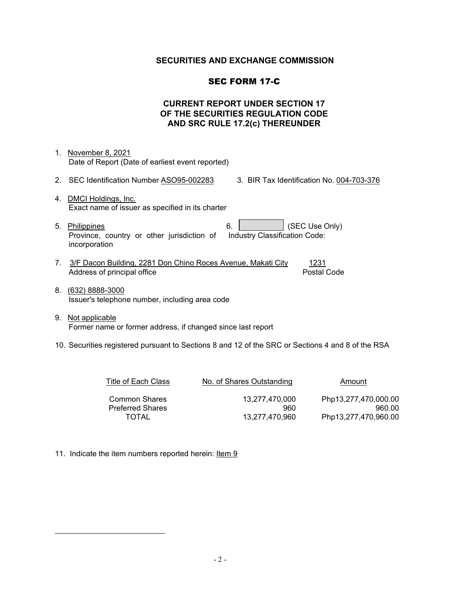# **SECURITIES AND EXCHANGE COMMISSION**

### SEC FORM 17-C

# **CURRENT REPORT UNDER SECTION 17 OF THE SECURITIES REGULATION CODE AND SRC RULE 17.2(c) THEREUNDER**

- 1. November 8, 2021 Date of Report (Date of earliest event reported)
- 2. SEC Identification Number ASO95-002283 3. BIR Tax Identification No. 004-703-376
- 4. DMCI Holdings, Inc. Exact name of issuer as specified in its charter
- 5. Philippines 6. (SEC Use Only) Province, country or other jurisdiction of incorporation Industry Classification Code:
- 7. 3/F Dacon Building, 2281 Don Chino Roces Avenue, Makati City 1231 Address of principal office **Postal Code** Postal Code
- 8. (632) 8888-3000 Issuer's telephone number, including area code
- 9. Not applicable Former name or former address, if changed since last report
- 10. Securities registered pursuant to Sections 8 and 12 of the SRC or Sections 4 and 8 of the RSA

| Title of Each Class                             | No. of Shares Outstanding | Amount                         |  |  |  |  |
|-------------------------------------------------|---------------------------|--------------------------------|--|--|--|--|
| <b>Common Shares</b><br><b>Preferred Shares</b> | 13.277.470.000<br>960     | Php13,277,470,000.00<br>960.00 |  |  |  |  |
| TOTAL                                           | 13.277.470.960            | Php13,277,470,960.00           |  |  |  |  |

11. Indicate the item numbers reported herein: Item 9

<span id="page-1-0"></span> $\overline{a}$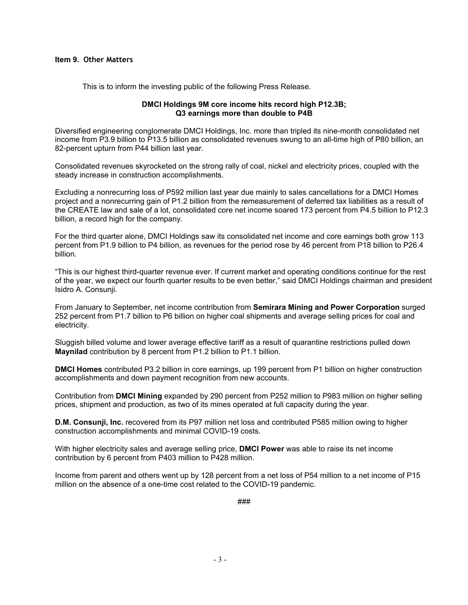#### **Item 9. Other Matters**

This is to inform the investing public of the following Press Release.

#### **DMCI Holdings 9M core income hits record high P12.3B; Q3 earnings more than double to P4B**

Diversified engineering conglomerate DMCI Holdings, Inc. more than tripled its nine-month consolidated net income from P3.9 billion to P13.5 billion as consolidated revenues swung to an all-time high of P80 billion, an 82-percent upturn from P44 billion last year.

Consolidated revenues skyrocketed on the strong rally of coal, nickel and electricity prices, coupled with the steady increase in construction accomplishments.

Excluding a nonrecurring loss of P592 million last year due mainly to sales cancellations for a DMCI Homes project and a nonrecurring gain of P1.2 billion from the remeasurement of deferred tax liabilities as a result of the CREATE law and sale of a lot, consolidated core net income soared 173 percent from P4.5 billion to P12.3 billion, a record high for the company.

For the third quarter alone, DMCI Holdings saw its consolidated net income and core earnings both grow 113 percent from P1.9 billion to P4 billion, as revenues for the period rose by 46 percent from P18 billion to P26.4 billion.

"This is our highest third-quarter revenue ever. If current market and operating conditions continue for the rest of the year, we expect our fourth quarter results to be even better," said DMCI Holdings chairman and president Isidro A. Consunji.

From January to September, net income contribution from **Semirara Mining and Power Corporation** surged 252 percent from P1.7 billion to P6 billion on higher coal shipments and average selling prices for coal and electricity.

Sluggish billed volume and lower average effective tariff as a result of quarantine restrictions pulled down **Maynilad** contribution by 8 percent from P1.2 billion to P1.1 billion.

**DMCI Homes** contributed P3.2 billion in core earnings, up 199 percent from P1 billion on higher construction accomplishments and down payment recognition from new accounts.

Contribution from **DMCI Mining** expanded by 290 percent from P252 million to P983 million on higher selling prices, shipment and production, as two of its mines operated at full capacity during the year.

**D.M. Consunji, Inc.** recovered from its P97 million net loss and contributed P585 million owing to higher construction accomplishments and minimal COVID-19 costs.

With higher electricity sales and average selling price, **DMCI Power** was able to raise its net income contribution by 6 percent from P403 million to P428 million.

Income from parent and others went up by 128 percent from a net loss of P54 million to a net income of P15 million on the absence of a one-time cost related to the COVID-19 pandemic.

###